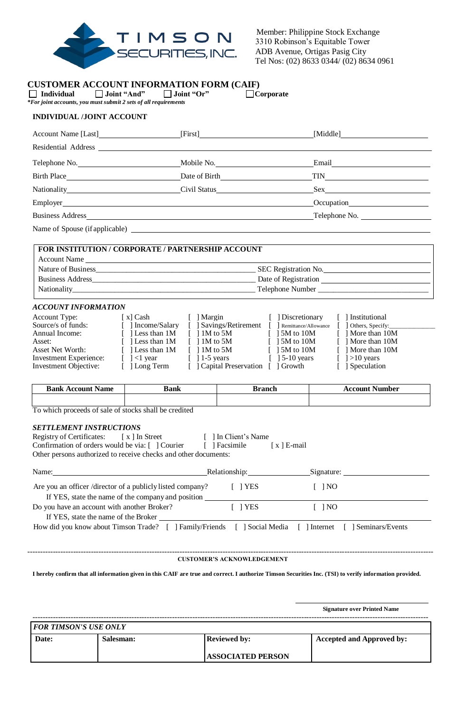

 Member: Philippine Stock Exchange 3310 Robinson's Equitable Tower ADB Avenue, Ortigas Pasig City Tel Nos: (02) 8633 0344/ (02) 8634 0961

### **CUSTOMER ACCOUNT INFORMATION FORM (CAIF)**

 **Individual Joint "And" Joint "Or" Corporate**  *\*For joint accounts, you must submit 2 sets of all requirements*

# **INDIVIDUAL /JOINT ACCOUNT**

| Account Name [Last]                                                                                                                                                                                                            | [First]                                                                  | [Middle]                                                                                                                                                                                                                                                        |
|--------------------------------------------------------------------------------------------------------------------------------------------------------------------------------------------------------------------------------|--------------------------------------------------------------------------|-----------------------------------------------------------------------------------------------------------------------------------------------------------------------------------------------------------------------------------------------------------------|
| Residential Address Contract of the Contract of the Contract of the Contract of the Contract of the Contract of the Contract of the Contract of the Contract of the Contract of the Contract of the Contract of the Contract o |                                                                          |                                                                                                                                                                                                                                                                 |
|                                                                                                                                                                                                                                |                                                                          | Email <b>Email</b>                                                                                                                                                                                                                                              |
|                                                                                                                                                                                                                                |                                                                          |                                                                                                                                                                                                                                                                 |
| Nationality Civil Status Civil Status                                                                                                                                                                                          |                                                                          |                                                                                                                                                                                                                                                                 |
|                                                                                                                                                                                                                                |                                                                          | Occupation <b>CONSUMING CONSUMING CONSUMING CONSUMING CONSUMING CONSUMING CONSUMING CONSUMING CONSUMING CONSUMING CONSUMING CONSUMING CONSUMING CONSUMING CONSUMING CONSUMING CONSUMING CONSUMING CONSUMING CONSUMING CONSUMING </b>                            |
|                                                                                                                                                                                                                                |                                                                          | Telephone No.                                                                                                                                                                                                                                                   |
|                                                                                                                                                                                                                                |                                                                          | Name of Spouse (if applicable)                                                                                                                                                                                                                                  |
|                                                                                                                                                                                                                                | <b>FOR INSTITUTION / CORPORATE / PARTNERSHIP ACCOUNT</b><br>Account Name |                                                                                                                                                                                                                                                                 |
|                                                                                                                                                                                                                                |                                                                          |                                                                                                                                                                                                                                                                 |
|                                                                                                                                                                                                                                |                                                                          |                                                                                                                                                                                                                                                                 |
|                                                                                                                                                                                                                                |                                                                          |                                                                                                                                                                                                                                                                 |
| <b>ACCOUNT INFORMATION</b>                                                                                                                                                                                                     |                                                                          |                                                                                                                                                                                                                                                                 |
|                                                                                                                                                                                                                                |                                                                          | Account Type: [x] Cash [] Margin [] Discretionary [] Institutional<br>Source/s of funds: [ ] Income/Salary [ ] Savings/Retirement [ ] Remittance/Allowance [ ] Others, Specify:<br>Annual Income: [ ] Less than 1M [ ] 1M to 5M [ ] 5M to 10M [ ] More than 10M |

| Annual Income:         | Less than IM               |                        | $\vert$ 15M to 10M                  | $\vert$   More than $\vert$ UM |
|------------------------|----------------------------|------------------------|-------------------------------------|--------------------------------|
| Asset:                 | l Less than 1M             | $11M$ to 5M            | $\lceil$ 15M to 10M                 | $\lceil$   More than 10M       |
| Asset Net Worth:       | [ ] Less than 1M           | $\lceil$ 1 1 M to 5 M  | $\lceil 15M \text{ to } 10M \rceil$ | $\lceil$   More than 10M       |
| Investment Experience: | $\lceil$ $\rceil$ < 1 year | $\lceil$ 1-5 years     | $\lceil$ 15-10 years                | $\lceil$ 1>10 years            |
| Investment Objective:  | [ 1 Long Term              | [ Capital Preservation | [ ] Growth                          | [ Speculation                  |
|                        |                            |                        |                                     |                                |

| Bank<br>— инс | Bank | ™°nch | .<br>. |
|---------------|------|-------|--------|
|               |      |       |        |

To which proceeds of sale of stocks shall be credited

### *SETTLEMENT INSTRUCTIONS*

Registry of Certificates: [ x ] In Street [ ] In Client's Name Confirmation of orders would be via: [ ] Courier [ ] Facsimile [ x ] E-mail Other persons authorized to receive checks and other documents:

| Name:                                                                                                            | Relationship: | Signature:        |  |
|------------------------------------------------------------------------------------------------------------------|---------------|-------------------|--|
| Are you an officer /director of a publicly listed company?<br>If YES, state the name of the company and position | 1 YES         | $\overline{1}$ NO |  |
| Do you have an account with another Broker?                                                                      | I PYES        | $\overline{1}$ NO |  |
| If YES, state the name of the Broker                                                                             |               |                   |  |
| How did you know about Timson Trade? [ ] Family/Friends [ ] Social Media [ ] Internet [ ] Seminars/Events        |               |                   |  |

---------------------------------------------------------------------------------------------------------------------------------------------------------------- **CUSTOMER'S ACKNOWLEDGEMENT**

**I hereby confirm that all information given in this CAIF are true and correct. I authorize Timson Securities Inc. (TSI) to verify information provided.**

 **Signature over Printed Name**

| <b>FOR TIMSON'S USE ONLY</b> |           |                          |                                  |  |
|------------------------------|-----------|--------------------------|----------------------------------|--|
| Date:                        | Salesman: | <b>Reviewed by:</b>      | <b>Accepted and Approved by:</b> |  |
|                              |           |                          |                                  |  |
|                              |           | <b>ASSOCIATED PERSON</b> |                                  |  |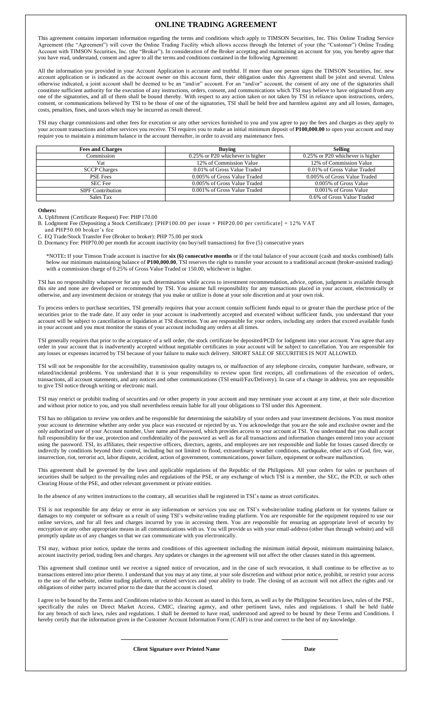#### **ONLINE TRADING AGREEMENT**

This agreement contains important information regarding the terms and conditions which apply to TIMSON Securities, Inc. This Online Trading Service Agreement (the "Agreement") will cover the Online Trading Facility which allows access through the Internet of your (the "Customer") Online Trading Account with TIMSON Securities, Inc. (the "Broker"). In consideration of the Broker accepting and maintaining an account for you, you hereby agree that you have read, understand, consent and agree to all the terms and conditions contained in the following Agreement:

All the information you provided in your Account Application is accurate and truthful. If more than one person signs the TIMSON Securities, Inc. new account application or is indicated as the account owner on this account form, their obligation under this Agreement shall be joint and several. Unless otherwise indicated, a joint account shall be deemed to be an "and/or" account. For an "and/or" account, the consent of any one of the signatories shall constitute sufficient authority for the execution of any instructions, orders, consent, and communications which TSI may believe to have originated from any one of the signatories, and all of them shall be bound thereby. With respect to any action taken or not taken by TSI in reliance upon instructions, orders, consent, or communications believed by TSI to be those of one of the signatories, TSI shall be held free and harmless against any and all losses, damages, costs, penalties, fines, and taxes which may be incurred as result thereof.

TSI may charge commissions and other fees for execution or any other services furnished to you and you agree to pay the fees and charges as they apply to your account transactions and other services you receive. TSI requires you to make an initial minimum deposit of **P100,000.00** to open your account and may require you to maintain a minimum balance in the account thereafter, in order to avoid any maintenance fees.

| <b>Fees and Charges</b>  | <b>Buving</b>                    | <b>Selling</b>                   |
|--------------------------|----------------------------------|----------------------------------|
| Commission               | 0.25% or P20 whichever is higher | 0.25% or P20 whichever is higher |
| Vat                      | 12% of Commission Value          | 12% of Commission Value          |
| <b>SCCP Charges</b>      | 0.01% of Gross Value Traded      | 0.01% of Gross Value Traded      |
| <b>PSE Fees</b>          | 0.005% of Gross Value Traded     | 0.005% of Gross Value Traded     |
| SEC Fee                  | 0.005% of Gross Value Traded     | 0.005% of Gross Value            |
| <b>SIPF Contribution</b> | 0.001% of Gross Value Traded     | 0.001% of Gross Value            |
| Sales Tax                |                                  | 0.6% of Gross Value Traded       |

**Others:**

A. Upliftment (Certificate Request) Fee: PHP170.00

B. Lodgment Fee (Depositing a Stock Certificate): [PHP100.00 per issue + PHP20.00 per certificate] + 12% VAT

and PHP50.00 broker's fee

C. EQ Trade/Stock Transfer Fee (Broker to broker): PHP 75.00 per stock

D. Dormancy Fee: PHP70.00 per month for account inactivity (no buy/sell transactions) for five (5) consecutive years

\*NOTE**:** If your Timson Trade account is inactive for **six (6) consecutive months** or if the total balance of your account (cash and stocks combined) falls below our minimum maintaining balance of **P100,000.00**, TSI reserves the right to transfer your account to a traditional account (broker-assisted trading) with a commission charge of 0.25% of Gross Value Traded or 150.00, whichever is higher.

TSI has no responsibility whatsoever for any such determination while access to investment recommendation, advice, option, judgment is available through this site and none are developed or recommended by TSI. You assume full responsibility for any transactions placed in your account, electronically or otherwise, and any investment decision or strategy that you make or utilize is done at your sole discretion and at your own risk.

To process orders to purchase securities, TSI generally requires that your account contain sufficient funds equal to or greater than the purchase price of the securities prior to the trade date. If any order in your account is inadvertently accepted and executed without sufficient funds, you understand that your account will be subject to cancellation or liquidation at TSI discretion. You are responsible for your orders, including any orders that exceed available funds in your account and you must monitor the status of your account including any orders at all times.

TSI generally requires that prior to the acceptance of a sell order, the stock certificate be deposited/PCD for lodgment into your account. You agree that any order in your account that is inadvertently accepted without negotiable certificates in your account will be subject to cancellation. You are responsible for any losses or expenses incurred by TSI because of your failure to make such delivery. SHORT SALE OF SECURITIES IS NOT ALLOWED.

TSI will not be responsible for the accessibility, transmission quality outages to, or malfunction of any telephone circuits, computer hardware, software, or related/incidental problems. You understand that it is your responsibility to review upon first receipts, all confirmations of the execution of orders, transactions, all account statements, and any notices and other communications (TSI email/Fax/Delivery). In case of a change in address, you are responsible to give TSI notice through writing or electronic mail.

TSI may restrict or prohibit trading of securities and /or other property in your account and may terminate your account at any time, at their sole discretion and without prior notice to you, and you shall nevertheless remain liable for all your obligations to TSI under this Agreement.

TSI has no obligation to review you orders and be responsible for determining the suitability of your orders and your investment decisions. You must monitor your account to determine whether any order you place was executed or rejected by us. You acknowledge that you are the sole and exclusive owner and the only authorized user of your Account number, User name and Password, which provides access to your account at TSI. You understand that you shall accept full responsibility for the use, protection and confidentiality of the password as well as for all transactions and information changes entered into your account using the password. TSI, its affiliates, their respective officers, directors, agents, and employees are not responsible and liable for losses caused directly or indirectly by conditions beyond their control, including but not limited to flood, extraordinary weather conditions, earthquake, other acts of God, fire, war, insurrection, riot, terrorist act, labor dispute, accident, action of government, communications, power failure, equipment or software malfunction.

This agreement shall be governed by the laws and applicable regulations of the Republic of the Philippines. All your orders for sales or purchases of securities shall be subject to the prevailing rules and regulations of the PSE, or any exchange of which TSI is a member, the SEC, the PCD, or such other Clearing House of the PSE, and other relevant government or private entities.

In the absence of any written instructions to the contrary, all securities shall be registered in TSI's name as street certificates.

TSI is not responsible for any delay or error in any information or services you use on TSI's website/online trading platform or for systems failure or damages to my computer or software as a result of using TSI's website/online trading platform. You are responsible for the equipment required to use our online services, and for all fees and charges incurred by you in accessing them. You are responsible for ensuring an appropriate level of security by encryption or any other appropriate means in all communications with us. You will provide us with your email-address (other than through website) and will promptly update us of any changes so that we can communicate with you electronically.

TSI may, without prior notice, update the terms and conditions of this agreement including the minimum initial deposit, minimum maintaining balance, account inactivity period, trading fees and charges. Any updates or changes in the agreement will not affect the other clauses stated in this agreement.

This agreement shall continue until we receive a signed notice of revocation, and in the case of such revocation, it shall continue to be effective as to transactions entered into prior thereto. I understand that you may at any time, at your sole discretion and without prior notice, prohibit, or restrict your access to the use of the website, online trading platform, or related services and your ability to trade. The closing of an account will not affect the rights and /or obligations of either party incurred prior to the date that the account is closed.

I agree to be bound by the Terms and Conditions relative to this Account as stated in this form, as well as by the Philippine Securities laws, rules of the PSE, specifically the rules on Direct Market Access, CMIC, clearing agency, and other pertinent laws, rules and regulations. I shall be held liable for any breach of such laws, rules and regulations. I shall be deemed to have read, understood and agreed to be bound by these Terms and Conditions. I hereby certify that the information given in the Customer Account Information Form (CAIF) is true and correct to the best of my knowledge.

**Client Signature over Printed Name Date**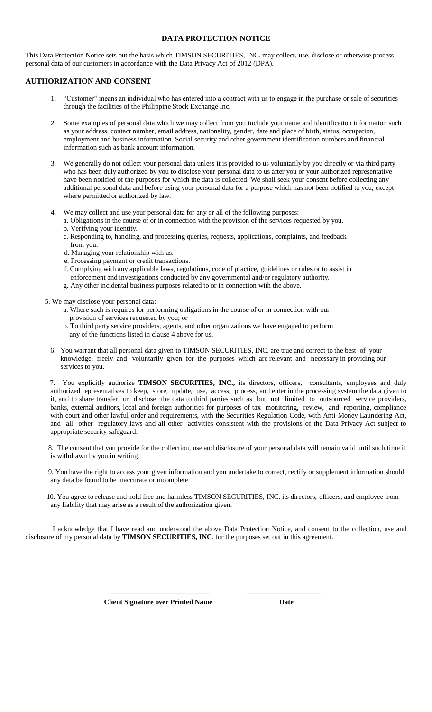### **DATA PROTECTION NOTICE**

This Data Protection Notice sets out the basis which TIMSON SECURITIES, INC. may collect, use, disclose or otherwise process personal data of our customers in accordance with the Data Privacy Act of 2012 (DPA).

# **AUTHORIZATION AND CONSENT**

- 1. "Customer" means an individual who has entered into a contract with us to engage in the purchase or sale of securities through the facilities of the Philippine Stock Exchange Inc.
- 2. Some examples of personal data which we may collect from you include your name and identification information such as your address, contact number, email address, nationality, gender, date and place of birth, status, occupation, employment and business information. Social security and other government identification numbers and financial information such as bank account information.
- 3. We generally do not collect your personal data unless it is provided to us voluntarily by you directly or via third party who has been duly authorized by you to disclose your personal data to us after you or your authorized representative have been notified of the purposes for which the data is collected. We shall seek your consent before collecting any additional personal data and before using your personal data for a purpose which has not been notified to you, except where permitted or authorized by law.
- 4. We may collect and use your personal data for any or all of the following purposes:
	- a. Obligations in the course of or in connection with the provision of the services requested by you. b. Verifying your identity.
	- c. Responding to, handling, and processing queries, requests, applications, complaints, and feedback from you.
	- d. Managing your relationship with us.
	- e. Processing payment or credit transactions.
	- f. Complying with any applicable laws, regulations, code of practice, guidelines or rules or to assist in enforcement and investigations conducted by any governmental and/or regulatory authority.
	- g. Any other incidental business purposes related to or in connection with the above.

5. We may disclose your personal data:

- a. Where such is requires for performing obligations in the course of or in connection with our provision of services requested by you; or
- b. To third party service providers, agents, and other organizations we have engaged to perform any of the functions listed in clause 4 above for us.
- 6. You warrant that all personal data given to TIMSON SECURITIES, INC. are true and correct to the best of your knowledge, freely and voluntarily given for the purposes which are relevant and necessary in providing our services to you.

 7. You explicitly authorize **TIMSON SECURITIES, INC.,** its directors, officers, consultants, employees and duly authorized representatives to keep, store, update, use, access, process, and enter in the processing system the data given to it, and to share transfer or disclose the data to third parties such as but not limited to outsourced service providers, banks, external auditors, local and foreign authorities for purposes of tax monitoring, review, and reporting, compliance with court and other lawful order and requirements, with the Securities Regulation Code, with Anti-Money Laundering Act, and all other regulatory laws and all other activities consistent with the provisions of the Data Privacy Act subject to appropriate security safeguard.

 8. The consent that you provide for the collection, use and disclosure of your personal data will remain valid until such time it is withdrawn by you in writing.

 9. You have the right to access your given information and you undertake to correct, rectify or supplement information should any data be found to be inaccurate or incomplete

 10. You agree to release and hold free and harmless TIMSON SECURITIES, INC. its directors, officers, and employee from any liability that may arise as a result of the authorization given.

 I acknowledge that I have read and understood the above Data Protection Notice, and consent to the collection, use and disclosure of my personal data by **TIMSON SECURITIES, INC**. for the purposes set out in this agreement.

\_\_\_\_\_\_\_\_\_\_\_\_\_\_\_\_\_\_\_\_\_\_\_\_\_\_\_\_\_\_\_\_\_\_\_ \_\_\_\_\_\_\_\_\_\_\_\_\_\_\_\_\_\_\_\_\_\_\_\_\_\_

*Client Signature over Printed Name* **Date**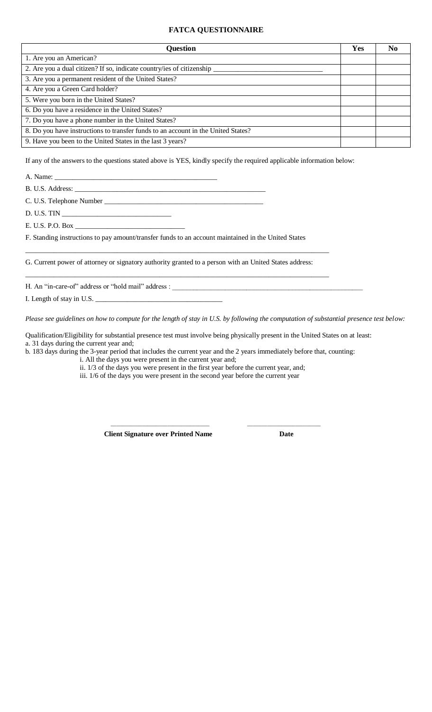# **FATCA QUESTIONNAIRE**

| <b>Question</b>                                                                   | Yes | No |
|-----------------------------------------------------------------------------------|-----|----|
| 1. Are you an American?                                                           |     |    |
| 2. Are you a dual citizen? If so, indicate country/ies of citizenship             |     |    |
| 3. Are you a permanent resident of the United States?                             |     |    |
| 4. Are you a Green Card holder?                                                   |     |    |
| 5. Were you born in the United States?                                            |     |    |
| 6. Do you have a residence in the United States?                                  |     |    |
| 7. Do you have a phone number in the United States?                               |     |    |
| 8. Do you have instructions to transfer funds to an account in the United States? |     |    |
| 9. Have you been to the United States in the last 3 years?                        |     |    |

If any of the answers to the questions stated above is YES, kindly specify the required applicable information below:

A. Name:

B. U.S. Address: \_\_\_\_\_\_\_\_\_\_\_\_\_\_\_\_\_\_\_\_\_\_\_\_\_\_\_\_\_\_\_\_\_\_\_\_\_\_\_\_\_\_\_\_\_\_\_\_\_\_\_\_\_\_

C. U.S. Telephone Number \_\_\_\_\_\_\_\_\_\_\_\_\_\_\_\_\_\_\_\_\_\_\_\_\_\_\_\_\_\_\_\_\_\_\_\_\_\_\_\_\_\_\_\_\_

D. U.S. TIN \_

E. U.S. P.O. Box \_\_\_\_\_\_\_\_\_\_\_\_\_\_\_\_\_\_\_\_\_\_\_\_\_\_\_\_\_\_\_

F. Standing instructions to pay amount/transfer funds to an account maintained in the United States

G. Current power of attorney or signatory authority granted to a person with an United States address:

\_\_\_\_\_\_\_\_\_\_\_\_\_\_\_\_\_\_\_\_\_\_\_\_\_\_\_\_\_\_\_\_\_\_\_\_\_\_\_\_\_\_\_\_\_\_\_\_\_\_\_\_\_\_\_\_\_\_\_\_\_\_\_\_\_\_\_\_\_\_\_\_\_\_\_\_\_\_\_\_\_\_\_\_\_\_

 $\_$  ,  $\_$  ,  $\_$  ,  $\_$  ,  $\_$  ,  $\_$  ,  $\_$  ,  $\_$  ,  $\_$  ,  $\_$  ,  $\_$  ,  $\_$  ,  $\_$  ,  $\_$  ,  $\_$  ,  $\_$  ,  $\_$  ,  $\_$  ,  $\_$  ,  $\_$  ,  $\_$  ,  $\_$  ,  $\_$  ,  $\_$  ,  $\_$  ,  $\_$  ,  $\_$  ,  $\_$  ,  $\_$  ,  $\_$  ,  $\_$  ,  $\_$  ,  $\_$  ,  $\_$  ,  $\_$  ,  $\_$  ,  $\_$  ,

H. An "in-care-of" address or "hold mail" address : \_\_\_\_\_\_\_\_\_\_\_\_\_\_\_\_\_\_\_\_\_\_\_\_\_\_\_\_

I. Length of stay in U.S.

*Please see guidelines on how to compute for the length of stay in U.S. by following the computation of substantial presence test below:*

\_\_\_\_\_\_\_\_\_\_\_\_\_\_\_\_\_\_\_\_\_\_\_\_\_\_\_\_\_\_\_\_\_\_\_ \_\_\_\_\_\_\_\_\_\_\_\_\_\_\_\_\_\_\_\_\_\_\_\_\_\_

Qualification/Eligibility for substantial presence test must involve being physically present in the United States on at least: a. 31 days during the current year and;

b. 183 days during the 3-year period that includes the current year and the 2 years immediately before that, counting:

i. All the days you were present in the current year and;

ii. 1/3 of the days you were present in the first year before the current year, and;

iii. 1/6 of the days you were present in the second year before the current year

 **Client Signature over Printed Name Date**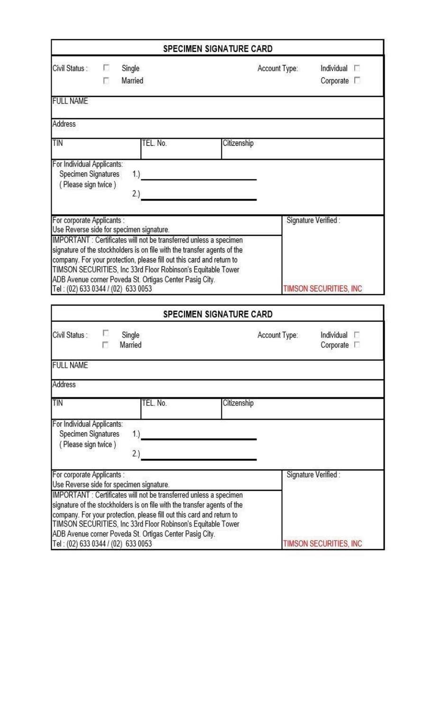|                                                                          |                                                                                                                                                                                                                                                                     | <b>SPECIMEN SIGNATURE CARD</b>                                                    |
|--------------------------------------------------------------------------|---------------------------------------------------------------------------------------------------------------------------------------------------------------------------------------------------------------------------------------------------------------------|-----------------------------------------------------------------------------------|
| Civil Status:<br>п<br>п                                                  | Single<br>Married                                                                                                                                                                                                                                                   | Account Type:<br>Individual $\Box$<br>Corporate $\Box$                            |
| <b>FULL NAME</b>                                                         |                                                                                                                                                                                                                                                                     |                                                                                   |
| <b>Address</b>                                                           |                                                                                                                                                                                                                                                                     |                                                                                   |
| TIN                                                                      | TEL. No.                                                                                                                                                                                                                                                            | Citizenship                                                                       |
| For Individual Applicants:<br>Specimen Signatures<br>(Please sign twice) | 1.)<br>2.)                                                                                                                                                                                                                                                          |                                                                                   |
| For corporate Applicants :                                               | Use Reverse side for specimen signature.<br>IMPORTANT : Certificates will not be transferred unless a specimen<br>signature of the stockholders is on file with the transfer agents of the<br>company. For your protection, please fill out this card and return to | Signature Verified :                                                              |
|                                                                          |                                                                                                                                                                                                                                                                     |                                                                                   |
|                                                                          | TIMSON SECURITIES, Inc 33rd Floor Robinson's Equitable Tower<br>ADB Avenue corner Poveda St. Ortigas Center Pasig City.                                                                                                                                             |                                                                                   |
| Tel: (02) 633 0344 / (02) 633 0053<br>Civil Status:                      | Single<br>Married                                                                                                                                                                                                                                                   | <b>SPECIMEN SIGNATURE CARD</b><br>Account Type:<br>Individual<br>Corporate $\Box$ |
| <b>FULL NAME</b>                                                         |                                                                                                                                                                                                                                                                     | TIMSON SECURITIES, INC                                                            |
| Address                                                                  |                                                                                                                                                                                                                                                                     |                                                                                   |
| TIN                                                                      | TEL. No.                                                                                                                                                                                                                                                            | Citizenship                                                                       |
| For Individual Applicants:<br>Specimen Signatures<br>(Please sign twice) | 1.<br>2.)                                                                                                                                                                                                                                                           |                                                                                   |
| For corporate Applicants :                                               | Use Reverse side for specimen signature.<br>IMPORTANT : Certificates will not be transferred unless a specimen<br>signature of the stockholders is on file with the transfer agents of the                                                                          | Signature Verified:                                                               |